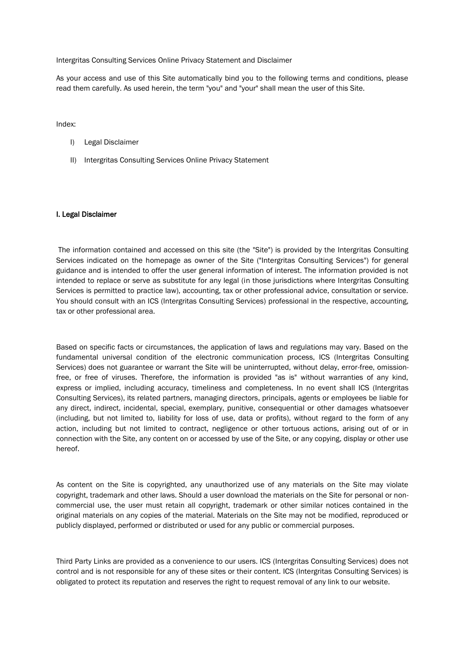Intergritas Consulting Services Online Privacy Statement and Disclaimer

As your access and use of this Site automatically bind you to the following terms and conditions, please read them carefully. As used herein, the term "you" and "your" shall mean the user of this Site.

Index:

- I) Legal Disclaimer
- II) Intergritas Consulting Services Online Privacy Statement

## I. Legal Disclaimer

The information contained and accessed on this site (the "Site") is provided by the Intergritas Consulting Services indicated on the homepage as owner of the Site ("Intergritas Consulting Services") for general guidance and is intended to offer the user general information of interest. The information provided is not intended to replace or serve as substitute for any legal (in those jurisdictions where Intergritas Consulting Services is permitted to practice law), accounting, tax or other professional advice, consultation or service. You should consult with an ICS (Intergritas Consulting Services) professional in the respective, accounting, tax or other professional area.

Based on specific facts or circumstances, the application of laws and regulations may vary. Based on the fundamental universal condition of the electronic communication process, ICS (Intergritas Consulting Services) does not guarantee or warrant the Site will be uninterrupted, without delay, error-free, omissionfree, or free of viruses. Therefore, the information is provided "as is" without warranties of any kind, express or implied, including accuracy, timeliness and completeness. In no event shall ICS (Intergritas Consulting Services), its related partners, managing directors, principals, agents or employees be liable for any direct, indirect, incidental, special, exemplary, punitive, consequential or other damages whatsoever (including, but not limited to, liability for loss of use, data or profits), without regard to the form of any action, including but not limited to contract, negligence or other tortuous actions, arising out of or in connection with the Site, any content on or accessed by use of the Site, or any copying, display or other use hereof.

As content on the Site is copyrighted, any unauthorized use of any materials on the Site may violate copyright, trademark and other laws. Should a user download the materials on the Site for personal or noncommercial use, the user must retain all copyright, trademark or other similar notices contained in the original materials on any copies of the material. Materials on the Site may not be modified, reproduced or publicly displayed, performed or distributed or used for any public or commercial purposes.

Third Party Links are provided as a convenience to our users. ICS (Intergritas Consulting Services) does not control and is not responsible for any of these sites or their content. ICS (Intergritas Consulting Services) is obligated to protect its reputation and reserves the right to request removal of any link to our website.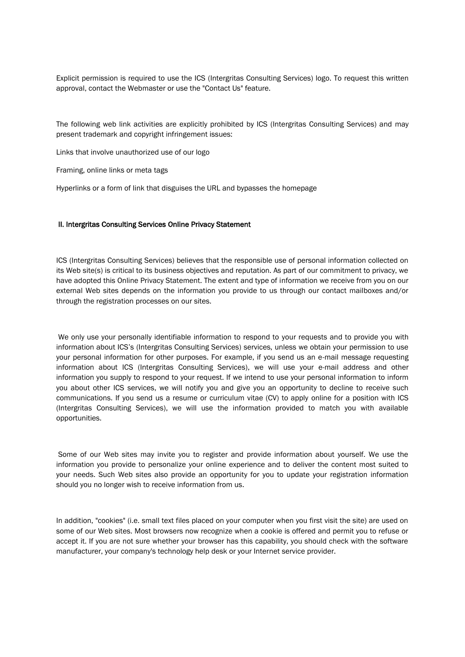Explicit permission is required to use the ICS (Intergritas Consulting Services) logo. To request this written approval, contact the Webmaster or use the "Contact Us" feature.

The following web link activities are explicitly prohibited by ICS (Intergritas Consulting Services) and may present trademark and copyright infringement issues:

Links that involve unauthorized use of our logo

Framing, online links or meta tags

Hyperlinks or a form of link that disguises the URL and bypasses the homepage

## II. Intergritas Consulting Services Online Privacy Statement

ICS (Intergritas Consulting Services) believes that the responsible use of personal information collected on its Web site(s) is critical to its business objectives and reputation. As part of our commitment to privacy, we have adopted this Online Privacy Statement. The extent and type of information we receive from you on our external Web sites depends on the information you provide to us through our contact mailboxes and/or through the registration processes on our sites.

We only use your personally identifiable information to respond to your requests and to provide you with information about ICS's (Intergritas Consulting Services) services, unless we obtain your permission to use your personal information for other purposes. For example, if you send us an e-mail message requesting information about ICS (Intergritas Consulting Services), we will use your e-mail address and other information you supply to respond to your request. If we intend to use your personal information to inform you about other ICS services, we will notify you and give you an opportunity to decline to receive such communications. If you send us a resume or curriculum vitae (CV) to apply online for a position with ICS (Intergritas Consulting Services), we will use the information provided to match you with available opportunities.

Some of our Web sites may invite you to register and provide information about yourself. We use the information you provide to personalize your online experience and to deliver the content most suited to your needs. Such Web sites also provide an opportunity for you to update your registration information should you no longer wish to receive information from us.

In addition, "cookies" (i.e. small text files placed on your computer when you first visit the site) are used on some of our Web sites. Most browsers now recognize when a cookie is offered and permit you to refuse or accept it. If you are not sure whether your browser has this capability, you should check with the software manufacturer, your company's technology help desk or your Internet service provider.